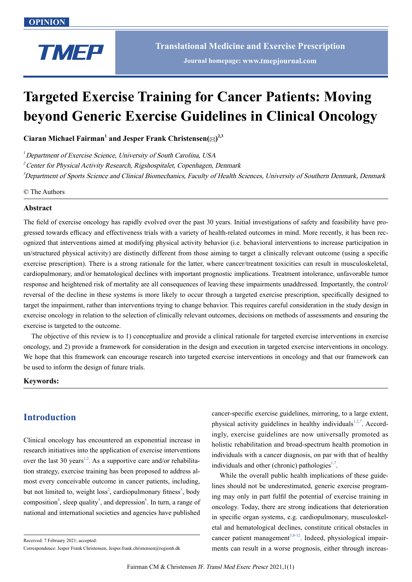

# **Targeted Exercise Training for Cancer Patients: Moving beyond Generic Exercise Guidelines in Clinical Oncology**

 $C$ iaran Michael Fairman<sup>1</sup> and Jesper Frank Christensen $(\boxtimes)^{2,3}$ 

 $<sup>1</sup>$  Department of Exercise Science, University of South Carolina, USA</sup>

<sup>2</sup> Center for Physical Activity Research, Rigshospitalet, Copenhagen, Denmark

3 Department of Sports Science and Clinical Biomechanics, Faculty of Health Sciences, University of Southern Denmark, Denmark

© The Authors

#### **Abstract**

The field of exercise oncology has rapidly evolved over the past 30 years. Initial investigations of safety and feasibility have progressed towards efficacy and effectiveness trials with a variety of health-related outcomes in mind. More recently, it has been recognized that interventions aimed at modifying physical activity behavior (i.e. behavioral interventions to increase participation in un/structured physical activity) are distinctly different from those aiming to target a clinically relevant outcome (using a specific exercise prescription). There is a strong rationale for the latter, where cancer/treatment toxicities can result in musculoskeletal, cardiopulmonary, and/or hematological declines with important prognostic implications. Treatment intolerance, unfavorable tumor response and heightened risk of mortality are all consequences of leaving these impairments unaddressed. Importantly, the control/ reversal of the decline in these systems is more likely to occur through a targeted exercise prescription, specifically designed to target the impairment, rather than interventions trying to change behavior. This requires careful consideration in the study design in exercise oncology in relation to the selection of clinically relevant outcomes, decisions on methods of assessments and ensuring the exercise is targeted to the outcome.

The objective of this review is to 1) conceptualize and provide a clinical rationale for targeted exercise interventions in exercise oncology, and 2) provide a framework for consideration in the design and execution in targeted exercise interventions in oncology. We hope that this framework can encourage research into targeted exercise interventions in oncology and that our framework can be used to inform the design of future trials.

#### **Keywords:**

# **Introduction**

Clinical oncology has encountered an exponential increase in research initiatives into the application of exercise interventions over the last 30 years<sup>1,2</sup>. As a supportive care and/or rehabilitation strategy, exercise training has been proposed to address almost every conceivable outcome in cancer patients, including, but not limited to, weight loss<sup>2</sup>, cardiopulmonary fitness<sup>3</sup>, body composition<sup>4</sup>, sleep quality<sup>5</sup>, and depression<sup>6</sup>. In turn, a range of national and international societies and agencies have published

cancer-specific exercise guidelines, mirroring, to a large extent, physical activity guidelines in healthy individuals $1,2,7$ . Accordingly, exercise guidelines are now universally promoted as holistic rehabilitation and broad-spectrum health promotion in individuals with a cancer diagnosis, on par with that of healthy individuals and other (chronic) pathologies $1,7$ .

While the overall public health implications of these guidelines should not be underestimated, generic exercise programing may only in part fulfil the potential of exercise training in oncology. Today, there are strong indications that deterioration in specific organ systems, e.g. cardiopulmonary, musculoskeletal and hematological declines, constitute critical obstacles in cancer patient management<sup>3,8-12</sup>. Indeed, physiological impairments can result in a worse prognosis, either through increas-

Received: 7 February 2021; accepted:

Correspondence: Jesper Frank Christensen, Jesper.frank.christensen@regionh.dk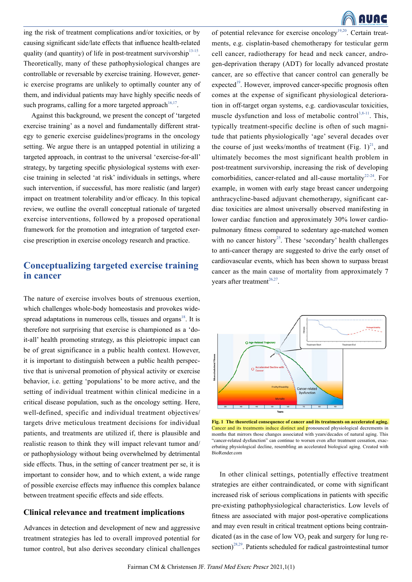ing the risk of treatment complications and/or toxicities, or by causing significant side/late effects that influence health-related quality (and quantity) of life in post-treatment survivorship $13-15$ . Theoretically, many of these pathophysiological changes are controllable or reversable by exercise training. However, generic exercise programs are unlikely to optimally counter any of them, and individual patients may have highly specific needs of such programs, calling for a more targeted approach<sup>16,17</sup>.

Against this background, we present the concept of 'targeted exercise training' as a novel and fundamentally different strategy to generic exercise guidelines/programs in the oncology setting. We argue there is an untapped potential in utilizing a targeted approach, in contrast to the universal 'exercise-for-all' strategy, by targeting specific physiological systems with exercise training in selected 'at risk' individuals in settings, where such intervention, if successful, has more realistic (and larger) impact on treatment tolerability and/or efficacy. In this topical review, we outline the overall conceptual rationale of targeted exercise interventions, followed by a proposed operational framework for the promotion and integration of targeted exercise prescription in exercise oncology research and practice.

# **Conceptualizing targeted exercise training in cancer**

The nature of exercise involves bouts of strenuous exertion, which challenges whole-body homeostasis and provokes widespread adaptations in numerous cells, tissues and organs $18$ . It is therefore not surprising that exercise is championed as a 'doit-all' health promoting strategy, as this pleiotropic impact can be of great significance in a public health context. However, it is important to distinguish between a public health perspective that is universal promotion of physical activity or exercise behavior, i.e. getting 'populations' to be more active, and the setting of individual treatment within clinical medicine in a critical disease population, such as the oncology setting. Here, well-defined, specific and individual treatment objectives/ targets drive meticulous treatment decisions for individual patients, and treatments are utilized if, there is plausible and realistic reason to think they will impact relevant tumor and/ or pathophysiology without being overwhelmed by detrimental side effects. Thus, in the setting of cancer treatment per se, it is important to consider how, and to which extent, a wide range of possible exercise effects may influence this complex balance between treatment specific effects and side effects.

#### **Clinical relevance and treatment implications**

Advances in detection and development of new and aggressive treatment strategies has led to overall improved potential for tumor control, but also derives secondary clinical challenges of potential relevance for exercise oncology<sup>19,20</sup>. Certain treatments, e.g. cisplatin-based chemotherapy for testicular germ cell cancer, radiotherapy for head and neck cancer, androgen-deprivation therapy (ADT) for locally advanced prostate cancer, are so effective that cancer control can generally be expected<sup>19</sup>. However, improved cancer-specific prognosis often comes at the expense of significant physiological deterioration in off-target organ systems, e.g. cardiovascular toxicities, muscle dysfunction and loss of metabolic control<sup>3,8-11</sup>. This, typically treatment-specific decline is often of such magnitude that patients physiologically 'age' several decades over the course of just weeks/months of treatment (Fig.  $1)^{21}$ , and ultimately becomes the most significant health problem in post-treatment survivorship, increasing the risk of developing comorbidities, cancer-related and all-cause mortality<sup>22-24</sup>. For example, in women with early stage breast cancer undergoing anthracycline-based adjuvant chemotherapy, significant cardiac toxicities are almost universally observed manifesting in lower cardiac function and approximately 30% lower cardiopulmonary fitness compared to sedentary age-matched women with no cancer history<sup>25</sup>. These 'secondary' health challenges to anti-cancer therapy are suggested to drive the early onset of cardiovascular events, which has been shown to surpass breast cancer as the main cause of mortality from approximately 7 years after treatment<sup>26,27</sup>.



**Fig. 1 The theoretical consequence of cancer and its treatments on accelerated aging.**  Cancer and its treatments induce distinct and pronounced physiological decrements in months that mirrors those changes associated with years/decades of natural aging. This "cancer-related dysfunction" can continue to worsen even after treatment cessation, exacerbating physiological decline, resembling an accelerated biological aging. Created with BioRender.com

In other clinical settings, potentially effective treatment strategies are either contraindicated, or come with significant increased risk of serious complications in patients with specific pre-existing pathophysiological characteristics. Low levels of fitness are associated with major post-operative complications and may even result in critical treatment options being contraindicated (as in the case of low  $VO<sub>2</sub>$  peak and surgery for lung resection)<sup>28,29</sup>. Patients scheduled for radical gastrointestinal tumor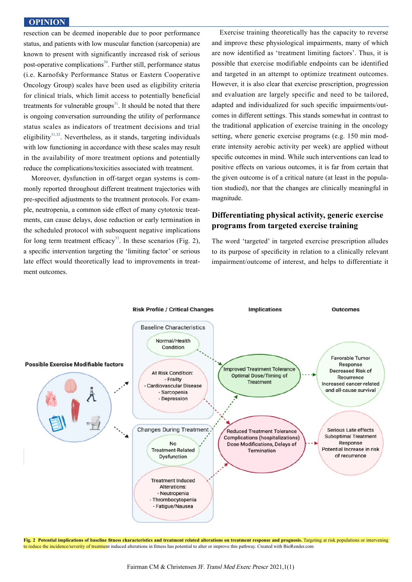resection can be deemed inoperable due to poor performance status, and patients with low muscular function (sarcopenia) are known to present with significantly increased risk of serious post-operative complications<sup>30</sup>. Further still, performance status (i.e. Karnofsky Performance Status or Eastern Cooperative Oncology Group) scales have been used as eligibility criteria for clinical trials, which limit access to potentially beneficial treatments for vulnerable groups<sup>31</sup>. It should be noted that there is ongoing conversation surrounding the utility of performance status scales as indicators of treatment decisions and trial eligibility $31,32$ . Nevertheless, as it stands, targeting individuals with low functioning in accordance with these scales may result in the availability of more treatment options and potentially reduce the complications/toxicities associated with treatment.

Moreover, dysfunction in off-target organ systems is commonly reported throughout different treatment trajectories with pre-specified adjustments to the treatment protocols. For example, neutropenia, a common side effect of many cytotoxic treatments, can cause delays, dose reduction or early termination in the scheduled protocol with subsequent negative implications for long term treatment efficacy<sup>33</sup>. In these scenarios (Fig. 2), a specific intervention targeting the 'limiting factor' or serious late effect would theoretically lead to improvements in treatment outcomes.

Exercise training theoretically has the capacity to reverse and improve these physiological impairments, many of which are now identified as 'treatment limiting factors'. Thus, it is possible that exercise modifiable endpoints can be identified and targeted in an attempt to optimize treatment outcomes. However, it is also clear that exercise prescription, progression and evaluation are largely specific and need to be tailored, adapted and individualized for such specific impairments/outcomes in different settings. This stands somewhat in contrast to the traditional application of exercise training in the oncology setting, where generic exercise programs (e.g. 150 min moderate intensity aerobic activity per week) are applied without specific outcomes in mind. While such interventions can lead to positive effects on various outcomes, it is far from certain that the given outcome is of a critical nature (at least in the population studied), nor that the changes are clinically meaningful in magnitude.

## **Differentiating physical activity, generic exercise programs from targeted exercise training**

The word 'targeted' in targeted exercise prescription alludes to its purpose of specificity in relation to a clinically relevant impairment/outcome of interest, and helps to differentiate it



**Fig. 2 Potential implications of baseline fitness characteristics and treatment related alterations on treatment response and prognosis.** Targeting at risk populations or intervening to reduce the incidence/severity of treatment induced alterations in fitness has potential to alter or improve this pathway. Created with BioRender.com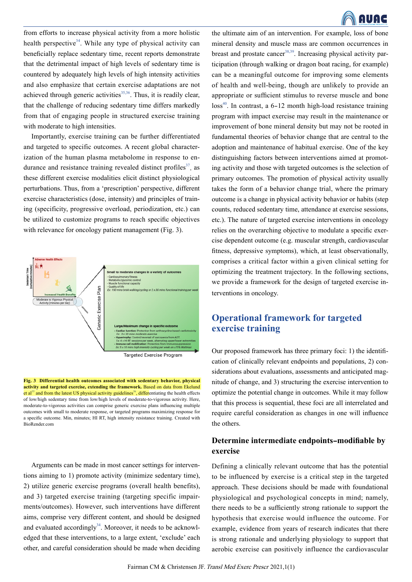

from efforts to increase physical activity from a more holistic health perspective<sup>34</sup>. While any type of physical activity can beneficially replace sedentary time, recent reports demonstrate that the detrimental impact of high levels of sedentary time is countered by adequately high levels of high intensity activities and also emphasize that certain exercise adaptations are not achieved through generic activities<sup>35,36</sup>. Thus, it is readily clear, that the challenge of reducing sedentary time differs markedly from that of engaging people in structured exercise training with moderate to high intensities.

Importantly, exercise training can be further differentiated and targeted to specific outcomes. A recent global characterization of the human plasma metabolome in response to endurance and resistance training revealed distinct profiles $37$ , as these different exercise modalities elicit distinct physiological perturbations. Thus, from a 'prescription' perspective, different exercise characteristics (dose, intensity) and principles of training (specificity, progressive overload, periodization, etc.) can be utilized to customize programs to reach specific objectives with relevance for oncology patient management (Fig. 3).



**Fig. 3 Differential health outcomes associated with sedentary behavior, physical activity and targeted exercise, extending the framework.** Based on data from Ekelund et al<sup>35</sup> and from the latest US physical activity guidelines<sup>36</sup>, differentiating the health effects of low/high sedentary time from low/high levels of moderate-to-vigorous activity. Here, moderate-to-vigorous activities can comprise generic exercise plans influencing multiple outcomes with small to moderate response, or targeted programs maximizing response for a specific outcome. Min, minutes; HI RT, high intensity resistance training. Created with BioRender.com

Arguments can be made in most cancer settings for interventions aiming to 1) promote activity (minimize sedentary time), 2) utilize generic exercise programs (overall health benefits), and 3) targeted exercise training (targeting specific impairments/outcomes). However, such interventions have different aims, comprise very different content, and should be designed and evaluated accordingly $34$ . Moreover, it needs to be acknowledged that these interventions, to a large extent, 'exclude' each other, and careful consideration should be made when deciding

the ultimate aim of an intervention. For example, loss of bone mineral density and muscle mass are common occurrences in breast and prostate cancer<sup>38,39</sup>. Increasing physical activity participation (through walking or dragon boat racing, for example) can be a meaningful outcome for improving some elements of health and well-being, though are unlikely to provide an appropriate or sufficient stimulus to reverse muscle and bone  $\cos^{40}$ . In contrast, a 6-12 month high-load resistance training program with impact exercise may result in the maintenance or improvement of bone mineral density but may not be rooted in fundamental theories of behavior change that are central to the adoption and maintenance of habitual exercise. One of the key distinguishing factors between interventions aimed at promoting activity and those with targeted outcomes is the selection of primary outcomes. The promotion of physical activity usually takes the form of a behavior change trial, where the primary outcome is a change in physical activity behavior or habits (step counts, reduced sedentary time, attendance at exercise sessions, etc.). The nature of targeted exercise interventions in oncology relies on the overarching objective to modulate a specific exercise dependent outcome (e.g. muscular strength, cardiovascular fitness, depressive symptoms), which, at least observationally, comprises a critical factor within a given clinical setting for optimizing the treatment trajectory. In the following sections, we provide a framework for the design of targeted exercise interventions in oncology.

# **Operational framework for targeted exercise training**

Our proposed framework has three primary foci: 1) the identification of clinically relevant endpoints and populations, 2) considerations about evaluations, assessments and anticipated magnitude of change, and 3) structuring the exercise intervention to optimize the potential change in outcomes. While it may follow that this process is sequential, these foci are all interrelated and require careful consideration as changes in one will influence the others.

### **Determine intermediate endpoints-modifiable by exercise**

Defining a clinically relevant outcome that has the potential to be influenced by exercise is a critical step in the targeted approach. These decisions should be made with foundational physiological and psychological concepts in mind; namely, there needs to be a sufficiently strong rationale to support the hypothesis that exercise would influence the outcome. For example, evidence from years of research indicates that there is strong rationale and underlying physiology to support that aerobic exercise can positively influence the cardiovascular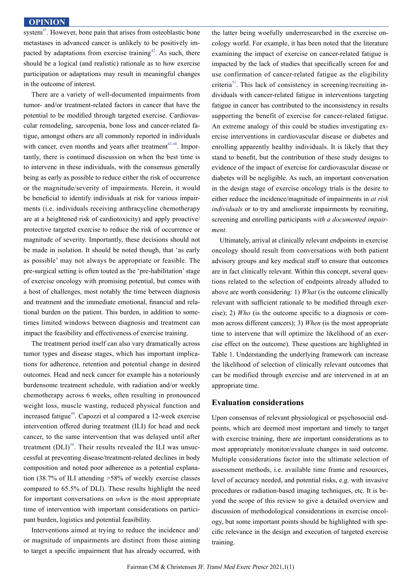system $41$ . However, bone pain that arises from osteoblastic bone metastases in advanced cancer is unlikely to be positively impacted by adaptations from exercise training $42$ . As such, there should be a logical (and realistic) rationale as to how exercise participation or adaptations may result in meaningful changes in the outcome of interest.

There are a variety of well-documented impairments from tumor- and/or treatment-related factors in cancer that have the potential to be modified through targeted exercise. Cardiovascular remodeling, sarcopenia, bone loss and cancer-related fatigue, amongst others are all commonly reported in individuals with cancer, even months and years after treatment $43-48$ . Importantly, there is continued discussion on when the best time is to intervene in these individuals, with the consensus generally being as early as possible to reduce either the risk of occurrence or the magnitude/severity of impairments. Herein, it would be beneficial to identify individuals at risk for various impairments (i.e. individuals receiving anthracycline chemotherapy are at a heightened risk of cardiotoxicity) and apply proactive/ protective targeted exercise to reduce the risk of occurrence or magnitude of severity. Importantly, these decisions should not be made in isolation. It should be noted though, that 'as early as possible' may not always be appropriate or feasible. The pre-surgical setting is often touted as the 'pre-habilitation' stage of exercise oncology with promising potential, but comes with a host of challenges, most notably the time between diagnosis and treatment and the immediate emotional, financial and relational burden on the patient. This burden, in addition to sometimes limited windows between diagnosis and treatment can impact the feasibility and effectiveness of exercise training.

The treatment period itself can also vary dramatically across tumor types and disease stages, which has important implications for adherence, retention and potential change in desired outcomes. Head and neck cancer for example has a notoriously burdensome treatment schedule, with radiation and/or weekly chemotherapy across 6 weeks, often resulting in pronounced weight loss, muscle wasting, reduced physical function and increased fatigue<sup>49</sup>. Capozzi et al compared a 12-week exercise intervention offered during treatment (ILI) for head and neck cancer, to the same intervention that was delayed until after treatment  $(DLI)^{50}$ . Their results revealed the ILI was unsuccessful at preventing disease/treatment-related declines in body composition and noted poor adherence as a potential explanation (38.7% of ILI attending >58% of weekly exercise classes compared to 65.5% of DLI). These results highlight the need for important conversations on *when* is the most appropriate time of intervention with important considerations on participant burden, logistics and potential feasibility.

Interventions aimed at trying to reduce the incidence and/ or magnitude of impairments are distinct from those aiming to target a specific impairment that has already occurred, with

the latter being woefully underresearched in the exercise oncology world. For example, it has been noted that the literature examining the impact of exercise on cancer-related fatigue is impacted by the lack of studies that specifically screen for and use confirmation of cancer-related fatigue as the eligibility criteria<sup>51</sup>. This lack of consistency in screening/recruiting individuals with cancer-related fatigue in interventions targeting fatigue in cancer has contributed to the inconsistency in results supporting the benefit of exercise for cancer-related fatigue. An extreme analogy of this could be studies investigating exercise interventions in cardiovascular disease or diabetes and enrolling apparently healthy individuals. It is likely that they stand to benefit, but the contribution of these study designs to evidence of the impact of exercise for cardiovascular disease or diabetes will be negligible. As such, an important conversation in the design stage of exercise oncology trials is the desire to either reduce the incidence/magnitude of impairments in *at risk individuals* or to try and ameliorate impairments by recruiting, screening and enrolling participants *with a documented impairment.*

Ultimately, arrival at clinically relevant endpoints in exercise oncology should result from conversations with both patient advisory groups and key medical staff to ensure that outcomes are in fact clinically relevant. Within this concept, several questions related to the selection of endpoints already alluded to above are worth considering: 1) *What* (is the outcome clinically relevant with sufficient rationale to be modified through exercise); 2) *Who* (is the outcome specific to a diagnosis or common across different cancers); 3) *When* (is the most appropriate time to intervene that will optimize the likelihood of an exercise effect on the outcome). These questions are highlighted in Table 1. Understanding the underlying framework can increase the likelihood of selection of clinically relevant outcomes that can be modified through exercise and are intervened in at an appropriate time.

#### **Evaluation considerations**

Upon consensus of relevant physiological or psychosocial endpoints, which are deemed most important and timely to target with exercise training, there are important considerations as to most appropriately monitor/evaluate changes in said outcome. Multiple considerations factor into the ultimate selection of assessment methods, i.e. available time frame and resources, level of accuracy needed, and potential risks, e.g. with invasive procedures or radiation-based imaging techniques, etc. It is beyond the scope of this review to give a detailed overview and discussion of methodological considerations in exercise oncology, but some important points should be highlighted with specific relevance in the design and execution of targeted exercise training.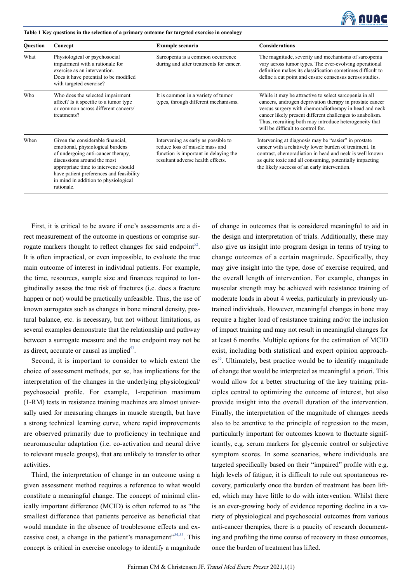

**Table 1 Key questions in the selection of a primary outcome for targeted exercise in oncology**

| <b>Ouestion</b> | Concept                                                                                                                                                                                                                                                                              | <b>Example scenario</b>                                                                                                                             | <b>Considerations</b>                                                                                                                                                                                                                                                                                                                   |
|-----------------|--------------------------------------------------------------------------------------------------------------------------------------------------------------------------------------------------------------------------------------------------------------------------------------|-----------------------------------------------------------------------------------------------------------------------------------------------------|-----------------------------------------------------------------------------------------------------------------------------------------------------------------------------------------------------------------------------------------------------------------------------------------------------------------------------------------|
| What            | Physiological or psychosocial<br>impairment with a rationale for<br>exercise as an intervention.<br>Does it have potential to be modified<br>with targeted exercise?                                                                                                                 | Sarcopenia is a common occurrence<br>during and after treatments for cancer.                                                                        | The magnitude, severity and mechanisms of sarcopenia<br>vary across tumor types. The ever-evolving operational<br>definition makes its classification sometimes difficult to<br>define a cut point and ensure consensus across studies.                                                                                                 |
| Who             | Who does the selected impairment<br>affect? Is it specific to a tumor type<br>or common across different cancers/<br>treatments?                                                                                                                                                     | It is common in a variety of tumor<br>types, through different mechanisms.                                                                          | While it may be attractive to select sarcopenia in all<br>cancers, androgen deprivation therapy in prostate cancer<br>versus surgery with chemoradiotherapy in head and neck<br>cancer likely present different challenges to anabolism.<br>Thus, recruiting both may introduce heterogeneity that<br>will be difficult to control for. |
| When            | Given the considerable financial,<br>emotional, physiological burdens<br>of undergoing anti-cancer therapy,<br>discussions around the most<br>appropriate time to intervene should<br>have patient preferences and feasibility<br>in mind in addition to physiological<br>rationale. | Intervening as early as possible to<br>reduce loss of muscle mass and<br>function is important in delaying the<br>resultant adverse health effects. | Intervening at diagnosis may be "easier" in prostate<br>cancer with a relatively lower burden of treatment. In<br>contrast, chemoradiation in head and neck is well known<br>as quite toxic and all consuming, potentially impacting<br>the likely success of an early intervention.                                                    |

First, it is critical to be aware if one's assessments are a direct measurement of the outcome in questions or comprise surrogate markers thought to reflect changes for said endpoint<sup>52</sup>. It is often impractical, or even impossible, to evaluate the true main outcome of interest in individual patients. For example, the time, resources, sample size and finances required to longitudinally assess the true risk of fractures (i.e. does a fracture happen or not) would be practically unfeasible. Thus, the use of known surrogates such as changes in bone mineral density, postural balance, etc. is necessary, but not without limitations, as several examples demonstrate that the relationship and pathway between a surrogate measure and the true endpoint may not be as direct, accurate or causal as implied $53$ .

Second, it is important to consider to which extent the choice of assessment methods, per se, has implications for the interpretation of the changes in the underlying physiological/ psychosocial profile. For example, 1-repetition maximum (1-RM) tests in resistance training machines are almost universally used for measuring changes in muscle strength, but have a strong technical learning curve, where rapid improvements are observed primarily due to proficiency in technique and neuromuscular adaptation (i.e. co-activation and neural drive to relevant muscle groups), that are unlikely to transfer to other activities.

Third, the interpretation of change in an outcome using a given assessment method requires a reference to what would constitute a meaningful change. The concept of minimal clinically important difference (MCID) is often referred to as "the smallest difference that patients perceive as beneficial that would mandate in the absence of troublesome effects and excessive cost, a change in the patient's management"<sup>54,55</sup>. This concept is critical in exercise oncology to identify a magnitude

of change in outcomes that is considered meaningful to aid in the design and interpretation of trials. Additionally, these may also give us insight into program design in terms of trying to change outcomes of a certain magnitude. Specifically, they may give insight into the type, dose of exercise required, and the overall length of intervention. For example, changes in muscular strength may be achieved with resistance training of moderate loads in about 4 weeks, particularly in previously untrained individuals. However, meaningful changes in bone may require a higher load of resistance training and/or the inclusion of impact training and may not result in meaningful changes for at least 6 months. Multiple options for the estimation of MCID exist, including both statistical and expert opinion approach $es<sup>55</sup>$ . Ultimately, best practice would be to identify magnitude of change that would be interpreted as meaningful a priori. This would allow for a better structuring of the key training principles central to optimizing the outcome of interest, but also provide insight into the overall duration of the intervention. Finally, the interpretation of the magnitude of changes needs also to be attentive to the principle of regression to the mean, particularly important for outcomes known to fluctuate significantly, e.g. serum markers for glycemic control or subjective symptom scores. In some scenarios, where individuals are targeted specifically based on their "impaired" profile with e.g. high levels of fatigue, it is difficult to rule out spontaneous recovery, particularly once the burden of treatment has been lifted, which may have little to do with intervention. Whilst there is an ever-growing body of evidence reporting decline in a variety of physiological and psychosocial outcomes from various anti-cancer therapies, there is a paucity of research documenting and profiling the time course of recovery in these outcomes, once the burden of treatment has lifted.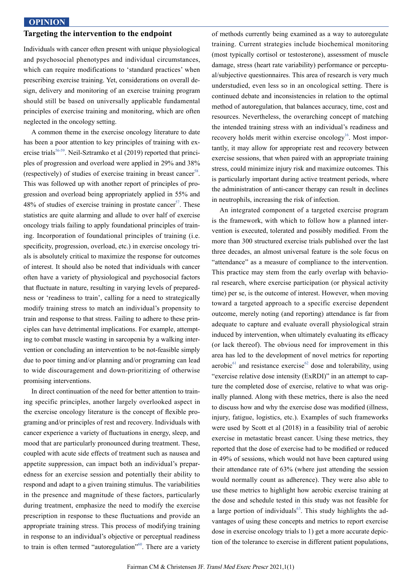#### **Targeting the intervention to the endpoint**

Individuals with cancer often present with unique physiological and psychosocial phenotypes and individual circumstances, which can require modifications to 'standard practices' when prescribing exercise training. Yet, considerations on overall design, delivery and monitoring of an exercise training program should still be based on universally applicable fundamental principles of exercise training and monitoring, which are often neglected in the oncology setting.

A common theme in the exercise oncology literature to date has been a poor attention to key principles of training with exercise trials<sup>56-59</sup>. Neil-Sztramko et al (2019) reported that principles of progression and overload were applied in 29% and 38% (respectively) of studies of exercise training in breast cancer<sup>58</sup>. This was followed up with another report of principles of progression and overload being appropriately applied in 55% and 48% of studies of exercise training in prostate cancer<sup>57</sup>. These statistics are quite alarming and allude to over half of exercise oncology trials failing to apply foundational principles of training. Incorporation of foundational principles of training (i.e. specificity, progression, overload, etc.) in exercise oncology trials is absolutely critical to maximize the response for outcomes of interest. It should also be noted that individuals with cancer often have a variety of physiological and psychosocial factors that fluctuate in nature, resulting in varying levels of preparedness or 'readiness to train', calling for a need to strategically modify training stress to match an individual's propensity to train and response to that stress. Failing to adhere to these principles can have detrimental implications. For example, attempting to combat muscle wasting in sarcopenia by a walking intervention or concluding an intervention to be not-feasible simply due to poor timing and/or planning and/or programing can lead to wide discouragement and down-prioritizing of otherwise promising interventions.

In direct continuation of the need for better attention to training specific principles, another largely overlooked aspect in the exercise oncology literature is the concept of flexible programing and/or principles of rest and recovery. Individuals with cancer experience a variety of fluctuations in energy, sleep, and mood that are particularly pronounced during treatment. These, coupled with acute side effects of treatment such as nausea and appetite suppression, can impact both an individual's preparedness for an exercise session and potentially their ability to respond and adapt to a given training stimulus. The variabilities in the presence and magnitude of these factors, particularly during treatment, emphasize the need to modify the exercise prescription in response to these fluctuations and provide an appropriate training stress. This process of modifying training in response to an individual's objective or perceptual readiness to train is often termed "autoregulation"<sup>60</sup>. There are a variety

of methods currently being examined as a way to autoregulate training. Current strategies include biochemical monitoring (most typically cortisol or testosterone), assessment of muscle damage, stress (heart rate variability) performance or perceptual/subjective questionnaires. This area of research is very much understudied, even less so in an oncological setting. There is continued debate and inconsistencies in relation to the optimal method of autoregulation, that balances accuracy, time, cost and resources. Nevertheless, the overarching concept of matching the intended training stress with an individual's readiness and recovery holds merit within exercise oncology<sup>16</sup>. Most importantly, it may allow for appropriate rest and recovery between exercise sessions, that when paired with an appropriate training stress, could minimize injury risk and maximize outcomes. This is particularly important during active treatment periods, where the administration of anti-cancer therapy can result in declines in neutrophils, increasing the risk of infection.

An integrated component of a targeted exercise program is the framework, with which to follow how a planned intervention is executed, tolerated and possibly modified. From the more than 300 structured exercise trials published over the last three decades, an almost universal feature is the sole focus on "attendance" as a measure of compliance to the intervention. This practice may stem from the early overlap with behavioral research, where exercise participation (or physical activity time) per se, is the outcome of interest. However, when moving toward a targeted approach to a specific exercise dependent outcome, merely noting (and reporting) attendance is far from adequate to capture and evaluate overall physiological strain induced by intervention, when ultimately evaluating its efficacy (or lack thereof). The obvious need for improvement in this area has led to the development of novel metrics for reporting aerobic $^{61}$  and resistance exercise<sup> $^{62}$ </sup> dose and tolerability, using "exercise relative dose intensity (ExRDI)" in an attempt to capture the completed dose of exercise, relative to what was originally planned. Along with these metrics, there is also the need to discuss how and why the exercise dose was modified (illness, injury, fatigue, logistics, etc.). Examples of such frameworks were used by Scott et al (2018) in a feasibility trial of aerobic exercise in metastatic breast cancer. Using these metrics, they reported that the dose of exercise had to be modified or reduced in 49% of sessions, which would not have been captured using their attendance rate of 63% (where just attending the session would normally count as adherence). They were also able to use these metrics to highlight how aerobic exercise training at the dose and schedule tested in this study was not feasible for a large portion of individuals<sup> $63$ </sup>. This study highlights the advantages of using these concepts and metrics to report exercise dose in exercise oncology trials to 1) get a more accurate depiction of the tolerance to exercise in different patient populations,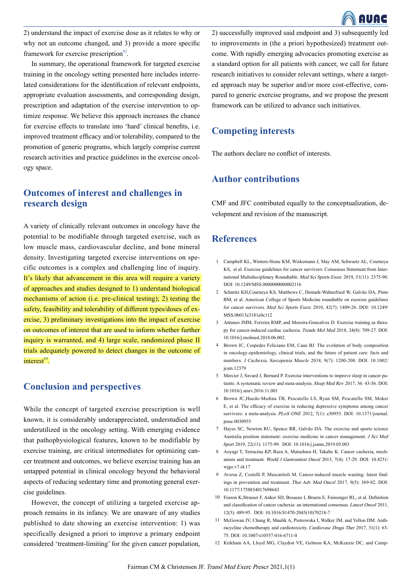

2) understand the impact of exercise dose as it relates to why or why not an outcome changed, and 3) provide a more specific framework for exercise prescription $62$ .

In summary, the operational framework for targeted exercise training in the oncology setting presented here includes interrelated considerations for the identification of relevant endpoints, appropriate evaluation assessments, and corresponding design, prescription and adaptation of the exercise intervention to optimize response. We believe this approach increases the chance for exercise effects to translate into 'hard' clinical benefits, i.e. improved treatment efficacy and/or tolerability, compared to the promotion of generic programs, which largely comprise current research activities and practice guidelines in the exercise oncology space.

# **Outcomes of interest and challenges in research design**

A variety of clinically relevant outcomes in oncology have the potential to be modifiable through targeted exercise, such as low muscle mass, cardiovascular decline, and bone mineral density. Investigating targeted exercise interventions on specific outcomes is a complex and challenging line of inquiry. It's likely that advancement in this area will require a variety of approaches and studies designed to 1) understand biological mechanisms of action (i.e. pre-clinical testing); 2) testing the safety, feasibility and tolerability of different types/doses of exercise, 3) preliminary investigations into the impact of exercise on outcomes of interest that are used to inform whether further inquiry is warranted, and 4) large scale, randomized phase II trials adequately powered to detect changes in the outcome of interest $^{64}$ 

## **Conclusion and perspectives**

While the concept of targeted exercise prescription is well known, it is considerably underappreciated, understudied and underutilized in the oncology setting. With emerging evidence that pathophysiological features, known to be modifiable by exercise training, are critical intermediates for optimizing cancer treatment and outcomes, we believe exercise training has an untapped potential in clinical oncology beyond the behavioral aspects of reducing sedentary time and promoting general exercise guidelines.

However, the concept of utilizing a targeted exercise approach remains in its infancy. We are unaware of any studies published to date showing an exercise intervention: 1) was specifically designed a priori to improve a primary endpoint considered 'treatment-limiting' for the given cancer population,

2) successfully improved said endpoint and 3) subsequently led to improvements in (the a priori hypothesized) treatment outcome. With rapidly emerging advocacies promoting exercise as a standard option for all patients with cancer, we call for future research initiatives to consider relevant settings, where a targeted approach may be superior and/or more cost-effective, compared to generic exercise programs, and we propose the present framework can be utilized to advance such initiatives.

## **Competing interests**

The authors declare no conflict of interests.

# **Author contributions**

CMF and JFC contributed equally to the conceptualization, development and revision of the manuscript.

## **References**

- Campbell KL, Winters-Stone KM, Wiskemann J, May AM, Schwartz AL, Courneya 1 KS, et al. Exercise guidelines for cancer survivors: Consensus Statement from International Multidisciplinary Roundtable. Med Sci Sports Exerc 2019, 51(11): 2375-90. DOI: 10.1249/MSS.0000000000002116
- 2 Schmitz KH, Courneya KS, Matthews C, Demark-Wahnefried W, Galvão DA, Pinto BM, et al. American College of Sports Medicine roundtable on exercise guidelines for cancer survivors. Med Sci Sports Exerc 2010, 42(7): 1409-26. DOI: 10.1249/ MSS.0b013e3181e0c112
- Antunes JMM, Ferreira RMP, and Moreira-Goncalves D. Exercise training as thera-3 py for cancer-induced cardiac cachexia. Trends Mol Med 2018, 24(8): 709-27. DOI: 10.1016/j.molmed.2018.06.002.
- Brown JC, Cespedes Feliciano EM, Caan BJ. The evolution of body composition 4 in oncology-epidemiology, clinical trials, and the future of patient care: facts and numbers. J Cachexia, Sarcopenia Muscle 2018, 9(7): 1200-208. DOI: 10.1002/ jcsm.12379
- 5 Mercier J, Savard J, Bernard P. Exercise interventions to improve sleep in cancer patients: A systematic review and meta-analysis. Sleep Med Rev 2017, 36: 43-56. DOI: 10.1016/j.smrv.2016.11.001
- 6 Brown JC, Huedo-Medina TB, Pescatello LS, Ryan SM, Pescatello SM, Moker E, et al. The efficacy of exercise in reducing depressive symptoms among cancer survivors: a meta-analysis. PLoS ONE 2012, 7(1): e30955. DOI: 10.1371/journal. pone.0030955
- 7 Hayes SC, Newton RU, Spence RR, Galvão DA. The exercise and sports science Australia position statement: exercise medicine in cancer management. J Sci Med Sport 2019, 22(11): 1175-99. DOI: 10.1016/j.jsams.2019.05.003
- Aoyagi T, Terracina KP, Raza A, Matsubara H, Takabe K. Cancer cachexia, mech-8 anism and treatment. World J Gastrointest Oncol 2015, 7(4): 17-29. DOI: 10.4251/ wjgo.v7.i4.17
- Aversa Z, Costelli P, Muscaritoli M. Cancer-induced muscle wasting: latest find-9 ings in prevention and treatment. Ther Adv Med Oncol 2017, 9(5): 369-82. DOI: 10.1177/1758834017698643
- 10 Fearon K, Strasser F, Anker SD, Bosaeus I, Bruera E, Fainsinger RL, et al. Definition and classification of cancer cachexia: an international consensus. *Lancet Oncol* 2011, 12(5): 489-95. DOI: 10.1016/S1470-2045(10)70218-7
- 11 McGowan JV, Chung R, Maulik A, Piotrowska I, Walker JM, and Yellon DM. Anthracycline chemotherapy and cardiotoxicity. Cardiovasc Drugs Ther 2017, 31(1): 63- 75. DOI: 10.1007/s10557-016-6711-0
- 12 Kirkham AA, Lloyd MG, Claydon VE, Gelmon KA, McKenzie DC, and Camp-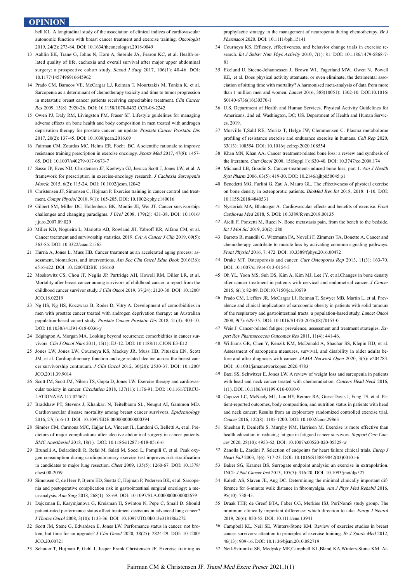bell KL. A longitudinal study of the association of clinical indices of cardiovascular autonomic function with breast cancer treatment and exercise training. Oncologist 2019, 24(2): 273-84. DOI: 10.1634/theoncologist.2018-0049

- 13 Aahlin EK, Tranø G, Johns N, Horn A, Søreide JA, Fearon KC, et al. Health-related quality of life, cachexia and overall survival after major upper abdominal surgery: a prospective cohort study. Scand J Surg 2017, 106(1): 40-46. DOI: 10.1177/1457496916645962
- 14 Prado CM, Baracos VE, McCargar LJ, Reiman T, Mourtzakis M, Tonkin K, et al. Sarcopenia as a determinant of chemotherapy toxicity and time to tumor progression in metastatic breast cancer patients receiving capecitabine treatment. Clin Cancer Res 2009, 15(8): 2920-26. DOI: 10.1158/1078-0432.CCR-08-2242
- 15 Owen PJ, Daly RM, Livingston PM, Fraser SF. Lifestyle guidelines for managing adverse effects on bone health and body composition in men treated with androgen deprivation therapy for prostate cancer: an update. Prostate Cancer Prostatic Dis 2017, 20(2): 137-45. DOI: 10.1038/pcan.2016.69
- 16 Fairman CM, Zourdos MC, Helms ER, Focht BC. A scientific rationale to improve resistance training prescription in exercise oncology. Sports Med 2017, 47(8): 1457- 65. DOI: 10.1007/s40279-017-0673-7
- 17 Sasso JP, Eves ND, Christensen JF, Koelwyn GJ, Jessica Scott J, Jones LW, et al. A framework for prescription in exercise-oncology research. J Cachexia Sarcopenia Muscle 2015, 6(2): 115-24. DOI: 10.1002/jcsm.12042
- Christensen JF, Simonsen C, Hojman P. Exercise training in cancer control and treat-18 ment. Compr Physiol 2018, 9(1): 165-205. DOI: 10.1002/cphy.c180016
- Gilbert SM, Miller DC, Hollenbeck BK, Montie JE, Wei JT. Cancer survivorship: 19 challenges and changing paradigms. J Urol 2008, 179(2): 431-38. DOI: 10.1016/ j.juro.2007.09.029
- 20 Miller KD, Nogueira L, Mariotto AB, Rowland JH, Yabroff KR, Alfano CM, et al. Cancer treatment and survivorship statistics, 2019. CA: A Cancer J Clin 2019, 69(5): 363-85. DOI: 10.3322/caac.21565
- 21 Hurria A, Jones L, Muss HB. Cancer treatment as an accelerated aging process: assessment, biomarkers, and interventions. Am Soc Clin Oncol Educ Book 2016(36): e516-e22. DOI: 10.1200/EDBK\_156160
- 22 Moskowitz CS, Chou JF, Neglia JP, Partridge AH, Howell RM, Diller LR, et al. Mortality after breast cancer among survivors of childhood cancer: a report from the childhood cancer survivor study. J Clin Oncol 2019, 37(24): 2120-30. DOI: 10.1200/ JCO.18.02219
- Ng HS, Ng HS, Koczwara B, Roder D, Vitry A. Development of comorbidities in 23 men with prostate cancer treated with androgen deprivation therapy: an Australian population-based cohort study. Prostate Cancer Prostatic Dis 2018, 21(3): 403-10. DOI: 10.1038/s41391-018-0036-y
- Edgington A, Morgan MA. Looking beyond recurrence: comorbidities in cancer sur-24 vivors. Clin J Oncol Nurs 2011, 15(1): E3-12. DOI: 10.1188/11.CJON.E3-E12
- 25 Jones LW, Jones LW, Courneya KS, Mackey JR, Muss HB, Pituskin EN, Scott JM, et al. Cardiopulmonary function and age-related decline across the breast cancer survivorship continuum. J Clin Oncol 2012, 30(20): 2530-37. DOI: 10.1200/ JCO.2011.39.9014
- 26 Scott JM, Scott JM, Nilsen TS, Gupta D, Jones LW. Exercise therapy and cardiovascular toxicity in cancer. Circulation 2018, 137(11): 1176-91. DOI: 10.1161/CIRCU-LATIONAHA.117.024671
- Bradshaw PT, Stevens J, Khankari N, Teitelbaum SL, Neugut AI, Gammon MD. 27 Cardiovascular disease mortality among breast cancer survivors. Epidemiology 2016, 27(1): 6-13. DOI: 10.1097/EDE.0000000000000394
- 28 Simões CM, Carmona MJC, Hajjar LA, Vincent JL, Landoni G, Belletti A, et al. Predictors of major complications after elective abdominal surgery in cancer patients. BMC Anesthesiol 2018, 18(1). DOI: 10.1186/s12871-018-0516-6
- Brunelli A, Belardinelli R, Refai M, Salati M, Socci L, Pompili C, et al. Peak oxy-29 gen consumption during cardiopulmonary exercise test improves risk stratification in candidates to major lung resection. Chest 2009, 135(5): 1260-67. DOI: 10.1378/ chest.08-2059
- Simonsen C, de Heer P, Bjerre ED, Suetta C, Hojman P, Pedersen BK, et al. Sarcope-30 nia and postoperative complication risk in gastrointestinal surgical oncology: a meta-analysis. Ann Surg 2018, 268(1): 58-69. DOI: 10.1097/SLA.0000000000002679
- Dajczman E, Kasymjanova G, Kreisman H, Swinton N, Pepe C, Small D. Should 31 patient-rated performance status affect treatment decisions in advanced lung cancer? J Thorac Oncol 2008, 3(10): 1133-36. DOI: 10.1097/JTO.0b013e318186a272
- 32 Scott JM, Stene G, Edvardsen E, Jones LW. Performance status in cancer: not broken, but time for an upgrade? J Clin Oncol 2020, 38(25): 2824-29. DOI: 10.1200/ JCO.20.00721
- 33 Schauer T, Hojman P, Gehl J, Jesper Frank Christensen JF. Exercise training as

prophylactic strategy in the management of neutropenia during chemotherapy. Br J Pharmacol 2020. DOI: 10.1111/bph.15141

- Courneya KS. Efficacy, effectiveness, and behavior change trials in exercise re-34 search. Int J Behav Nutr Phys Activity 2010, 7(1): 81. DOI: 10.1186/1479-5868-7-81
- Ekelund U, Steene-Johannessen J, Brown WJ, Fagerland MW, Owen N, Powell 35 KE, et al. Does physical activity attenuate, or even eliminate, the detrimental association of sitting time with mortality? A harmonised meta-analysis of data from more than 1 million men and women. Lancet 2016, 388(10051): 1302-10. DOI:10.1016/ S0140-6736(16)30370-1
- U.S. Department of Health and Human Services. Physical Activity Guidelines for 36 Americans, 2nd ed. Washington, DC; US. Department of Health and Human Services, 2019.
- Morville T,Sahl RE, Moritz T, Helge JW, Clemmensen C. Plasma metabolome 37 profiling of resistance exercise and endurance exercise in humans. Cell Rep 2020, 33(13): 108554. DOI: 10.1016/j.celrep.2020.108554
- Khan MN, Khan AA. Cancer treatment-related bone loss: a review and synthesis of 38 the literature. Curr Oncol 2008, 15(Suppl 1): S30-40. DOI: 10.3747/co.2008.174
- 39 Michaud LB, Goodin S. Cancer-treatment-induced bone loss, part 1. Am J Health Syst Pharm 2006, 63(5): 419-30. DOI: 10.2146/ajhp050045.p1
- 40 Benedetti MG, Furlini G, Zati A, Mauro GL. The effectiveness of physical exercise on bone density in osteoporotic patients. BioMed Res Int 2018, 2018: 1-10. DOI: 10.1155/2018/4840531
- 41 Nystoriak MA, Bhatnagar A. Cardiovascular effects and benefits of exercise. Front Cardiovas Med 2018, 5. DOI: 10.3389/fcvm.2018.00135
- 42 Aielli F, Ponzetti M, Rucci N. Bone metastasis pain, from the bench to the bedside. Int J Mol Sci 2019, 20(2): 280.
- 43 Barreto R, mandili G, Witzmann FA, Novelli F, Zimmers TA, Bonetto A. Cancer and chemotherapy contribute to muscle loss by activating common signaling pathways. Front Physiol 2016, 7: 472. DOI: 10.3389/fphys.2016.00472
- 44 Drake MT. Osteoporosis and cancer. Curr Osteoporos Rep 2013, 11(3): 163-70. DOI: 10.1007/s11914-013-0154-3
- Oh YL, Yoon MS, Suh DS, Kim A, Kim MJ, Lee JY, et al.Changes in bone density 45 after cancer treatment in patients with cervical and endometrial cancer. J Cancer 2015, 6(1): 82-89. DOI:10.7150/jca.10679
- 46 Prado CM, Lieffers JR, McCargar LJ, Reiman T, Sawyer MB, Martin L, et al. Prevalence and clinical implications of sarcopenic obesity in patients with solid tumours of the respiratory and gastrointestinal tracts: a population-based study. Lancet Oncol 2008, 9(7): 629-35. DOI: 10.1016/S1470-2045(08)70153-0
- Weis J. Cancer-related fatigue: prevalence, assessment and treatment strategies. Ex-47 pert Rev Pharmacoecon Outcomes Res 2011, 11(4): 441-46.
- Williams GR, Chen Y, Kenzik KM, McDonald A, Shachar SS, Klepin HD, et al. 48 Assessment of sarcopenia measures, survival, and disability in older adults before and after diagnosis with cancer. JAMA Network Open 2020, 3(5): e204783. DOI: 10.1001/jamanetworkopen.2020.4783
- 49 Baxi SS, Schwitzer E, Jones LW. A review of weight loss and sarcopenia in patients with head and neck cancer treated with chemoradiation. Cancers Head Neck 2016, 1(1). DOI: 10.1186/s41199-016-0010-0
- 50 Capozzi LC, McNeely ML, Lau HY, Reimer RA, Giese-Davis J, Fung TS, et al. Patient-reported outcomes, body composition, and nutrition status in patients with head and neck cancer: Results from an exploratory randomized controlled exercise trial. Cancer 2016, 122(8): 1185-1200. DOI: 10.1002/cncr.29863
- 51 Sheehan P, Denieffe S, Murphy NM, Harrison M. Exercise is more effective than health education in reducing fatigue in fatigued cancer survivors. Support Care Cancer 2020, 28(10): 4953-62. DOI: 10.1007/s00520-020-05328-w
- 52 Zanolla L, Zardini P. Selection of endpoints for heart failure clinical trials. Europ J Heart Fail 2003, 5(6): 717-23. DOI: 10.1016/S1388-9842(03)00101-6
- 53 Baker SG, Kramer BS. Surrogate endpoint analysis: an exercise in extrapolation. JNCI: J Nat Cancer Inst 2013, 105(5): 316-20. DOI: 10.1093/jnci/djs527
- 54 Kaleth AS, Slaven JE, Ang DC. Determining the minimal clinically important difference for 6-minute walk distance in fibromyalgia. Am J Phys Med Rehabil 2016, 95(10): 738-45.
- 55 Draak THP, de Greef BTA, Faber CG, Merkies ISJ, PeriNomS study group. The minimum clinically important difference: which direction to take. Europ J Neurol 2019, 26(6): 850-55. DOI: 10.1111/ene.13941
- Campbell KL, Neil SE, Winters-Stone KM. Review of exercise studies in breast 56 cancer survivors: attention to principles of exercise training. Br J Sports Med 2012, 46(13): 909-16. DOI: 10.1136/bjsm.2010.082719
- 57 Neil-Sztramko SE, Medysky ME, Campbell KL, Bland KA, Winters-Stone KM. At-